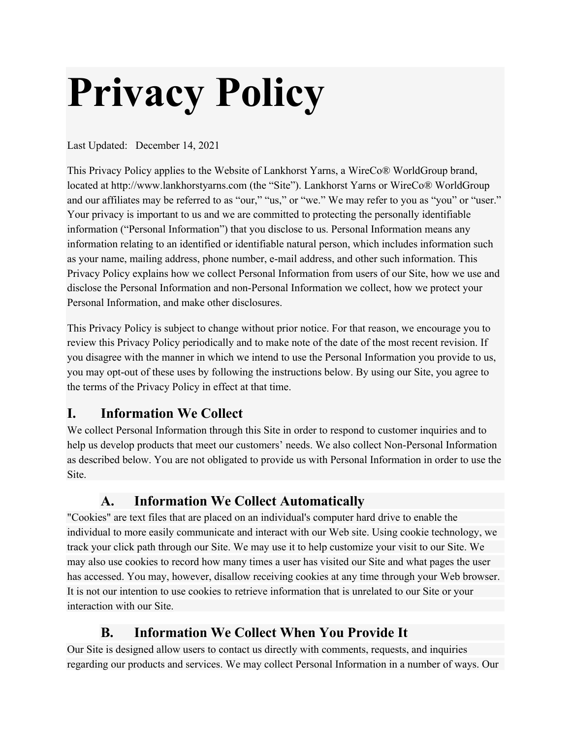# **Privacy Policy**

Last Updated: December 14, 2021

This Privacy Policy applies to the Website of Lankhorst Yarns, a WireCo® WorldGroup brand, located at http://www.lankhorstyarns.com (the "Site"). Lankhorst Yarns or WireCo® WorldGroup and our affiliates may be referred to as "our," "us," or "we." We may refer to you as "you" or "user." Your privacy is important to us and we are committed to protecting the personally identifiable information ("Personal Information") that you disclose to us. Personal Information means any information relating to an identified or identifiable natural person, which includes information such as your name, mailing address, phone number, e-mail address, and other such information. This Privacy Policy explains how we collect Personal Information from users of our Site, how we use and disclose the Personal Information and non-Personal Information we collect, how we protect your Personal Information, and make other disclosures.

This Privacy Policy is subject to change without prior notice. For that reason, we encourage you to review this Privacy Policy periodically and to make note of the date of the most recent revision. If you disagree with the manner in which we intend to use the Personal Information you provide to us, you may opt-out of these uses by following the instructions below. By using our Site, you agree to the terms of the Privacy Policy in effect at that time.

## **I. Information We Collect**

We collect Personal Information through this Site in order to respond to customer inquiries and to help us develop products that meet our customers' needs. We also collect Non-Personal Information as described below. You are not obligated to provide us with Personal Information in order to use the Site.

## **A. Information We Collect Automatically**

"Cookies" are text files that are placed on an individual's computer hard drive to enable the individual to more easily communicate and interact with our Web site. Using cookie technology, we track your click path through our Site. We may use it to help customize your visit to our Site. We may also use cookies to record how many times a user has visited our Site and what pages the user has accessed. You may, however, disallow receiving cookies at any time through your Web browser. It is not our intention to use cookies to retrieve information that is unrelated to our Site or your interaction with our Site.

# **B. Information We Collect When You Provide It**

Our Site is designed allow users to contact us directly with comments, requests, and inquiries regarding our products and services. We may collect Personal Information in a number of ways. Our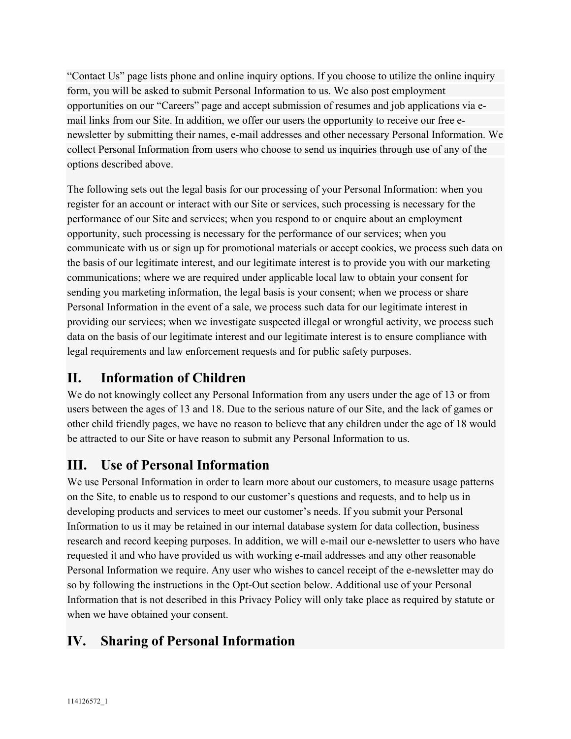"Contact Us" page lists phone and online inquiry options. If you choose to utilize the online inquiry form, you will be asked to submit Personal Information to us. We also post employment opportunities on our "Careers" page and accept submission of resumes and job applications via email links from our Site. In addition, we offer our users the opportunity to receive our free enewsletter by submitting their names, e-mail addresses and other necessary Personal Information. We collect Personal Information from users who choose to send us inquiries through use of any of the options described above.

The following sets out the legal basis for our processing of your Personal Information: when you register for an account or interact with our Site or services, such processing is necessary for the performance of our Site and services; when you respond to or enquire about an employment opportunity, such processing is necessary for the performance of our services; when you communicate with us or sign up for promotional materials or accept cookies, we process such data on the basis of our legitimate interest, and our legitimate interest is to provide you with our marketing communications; where we are required under applicable local law to obtain your consent for sending you marketing information, the legal basis is your consent; when we process or share Personal Information in the event of a sale, we process such data for our legitimate interest in providing our services; when we investigate suspected illegal or wrongful activity, we process such data on the basis of our legitimate interest and our legitimate interest is to ensure compliance with legal requirements and law enforcement requests and for public safety purposes.

#### **II. Information of Children**

We do not knowingly collect any Personal Information from any users under the age of 13 or from users between the ages of 13 and 18. Due to the serious nature of our Site, and the lack of games or other child friendly pages, we have no reason to believe that any children under the age of 18 would be attracted to our Site or have reason to submit any Personal Information to us.

#### **III. Use of Personal Information**

We use Personal Information in order to learn more about our customers, to measure usage patterns on the Site, to enable us to respond to our customer's questions and requests, and to help us in developing products and services to meet our customer's needs. If you submit your Personal Information to us it may be retained in our internal database system for data collection, business research and record keeping purposes. In addition, we will e-mail our e-newsletter to users who have requested it and who have provided us with working e-mail addresses and any other reasonable Personal Information we require. Any user who wishes to cancel receipt of the e-newsletter may do so by following the instructions in the Opt-Out section below. Additional use of your Personal Information that is not described in this Privacy Policy will only take place as required by statute or when we have obtained your consent.

#### **IV. Sharing of Personal Information**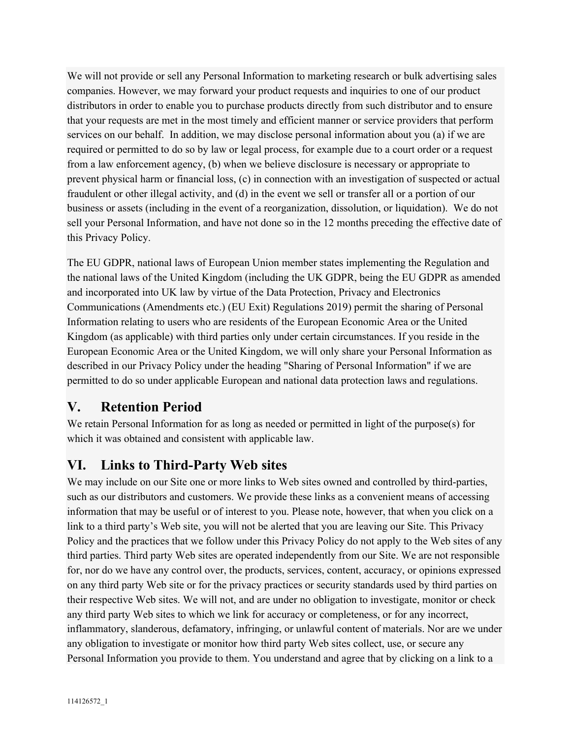We will not provide or sell any Personal Information to marketing research or bulk advertising sales companies. However, we may forward your product requests and inquiries to one of our product distributors in order to enable you to purchase products directly from such distributor and to ensure that your requests are met in the most timely and efficient manner or service providers that perform services on our behalf. In addition, we may disclose personal information about you (a) if we are required or permitted to do so by law or legal process, for example due to a court order or a request from a law enforcement agency, (b) when we believe disclosure is necessary or appropriate to prevent physical harm or financial loss, (c) in connection with an investigation of suspected or actual fraudulent or other illegal activity, and (d) in the event we sell or transfer all or a portion of our business or assets (including in the event of a reorganization, dissolution, or liquidation). We do not sell your Personal Information, and have not done so in the 12 months preceding the effective date of this Privacy Policy.

The EU GDPR, national laws of European Union member states implementing the Regulation and the national laws of the United Kingdom (including the UK GDPR, being the EU GDPR as amended and incorporated into UK law by virtue of the Data Protection, Privacy and Electronics Communications (Amendments etc.) (EU Exit) Regulations 2019) permit the sharing of Personal Information relating to users who are residents of the European Economic Area or the United Kingdom (as applicable) with third parties only under certain circumstances. If you reside in the European Economic Area or the United Kingdom, we will only share your Personal Information as described in our Privacy Policy under the heading "Sharing of Personal Information" if we are permitted to do so under applicable European and national data protection laws and regulations.

#### **V. Retention Period**

We retain Personal Information for as long as needed or permitted in light of the purpose(s) for which it was obtained and consistent with applicable law.

#### **VI. Links to Third-Party Web sites**

We may include on our Site one or more links to Web sites owned and controlled by third-parties, such as our distributors and customers. We provide these links as a convenient means of accessing information that may be useful or of interest to you. Please note, however, that when you click on a link to a third party's Web site, you will not be alerted that you are leaving our Site. This Privacy Policy and the practices that we follow under this Privacy Policy do not apply to the Web sites of any third parties. Third party Web sites are operated independently from our Site. We are not responsible for, nor do we have any control over, the products, services, content, accuracy, or opinions expressed on any third party Web site or for the privacy practices or security standards used by third parties on their respective Web sites. We will not, and are under no obligation to investigate, monitor or check any third party Web sites to which we link for accuracy or completeness, or for any incorrect, inflammatory, slanderous, defamatory, infringing, or unlawful content of materials. Nor are we under any obligation to investigate or monitor how third party Web sites collect, use, or secure any Personal Information you provide to them. You understand and agree that by clicking on a link to a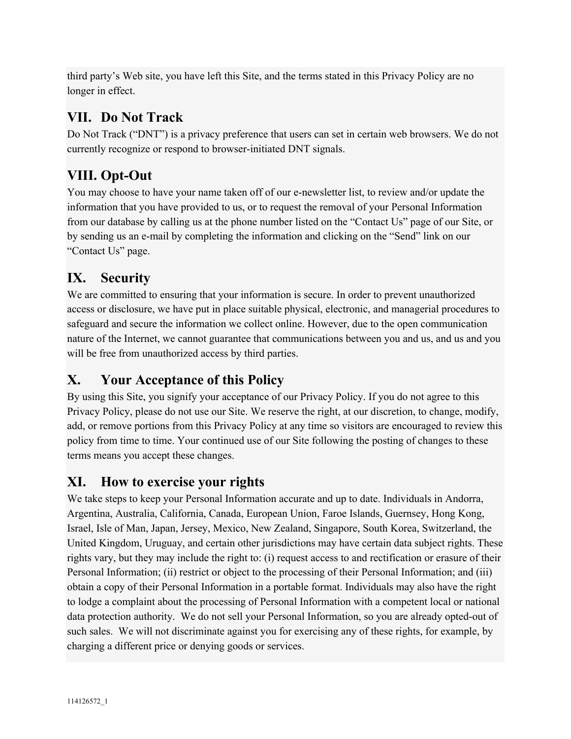third party's Web site, you have left this Site, and the terms stated in this Privacy Policy are no longer in effect.

#### **VII. Do Not Track**

Do Not Track ("DNT") is a privacy preference that users can set in certain web browsers. We do not currently recognize or respond to browser-initiated DNT signals.

# **VIII. Opt-Out**

You may choose to have your name taken off of our e-newsletter list, to review and/or update the information that you have provided to us, or to request the removal of your Personal Information from our database by calling us at the phone number listed on the "Contact Us" page of our Site, or by sending us an e-mail by completing the information and clicking on the "Send" link on our "Contact Us" page.

## **IX. Security**

We are committed to ensuring that your information is secure. In order to prevent unauthorized access or disclosure, we have put in place suitable physical, electronic, and managerial procedures to safeguard and secure the information we collect online. However, due to the open communication nature of the Internet, we cannot guarantee that communications between you and us, and us and you will be free from unauthorized access by third parties.

#### **X. Your Acceptance of this Policy**

By using this Site, you signify your acceptance of our Privacy Policy. If you do not agree to this Privacy Policy, please do not use our Site. We reserve the right, at our discretion, to change, modify, add, or remove portions from this Privacy Policy at any time so visitors are encouraged to review this policy from time to time. Your continued use of our Site following the posting of changes to these terms means you accept these changes.

#### **XI. How to exercise your rights**

We take steps to keep your Personal Information accurate and up to date. Individuals in Andorra, Argentina, Australia, California, Canada, European Union, Faroe Islands, Guernsey, Hong Kong, Israel, Isle of Man, Japan, Jersey, Mexico, New Zealand, Singapore, South Korea, Switzerland, the United Kingdom, Uruguay, and certain other jurisdictions may have certain data subject rights. These rights vary, but they may include the right to: (i) request access to and rectification or erasure of their Personal Information; (ii) restrict or object to the processing of their Personal Information; and (iii) obtain a copy of their Personal Information in a portable format. Individuals may also have the right to lodge a complaint about the processing of Personal Information with a competent local or national data protection authority. We do not sell your Personal Information, so you are already opted-out of such sales. We will not discriminate against you for exercising any of these rights, for example, by charging a different price or denying goods or services.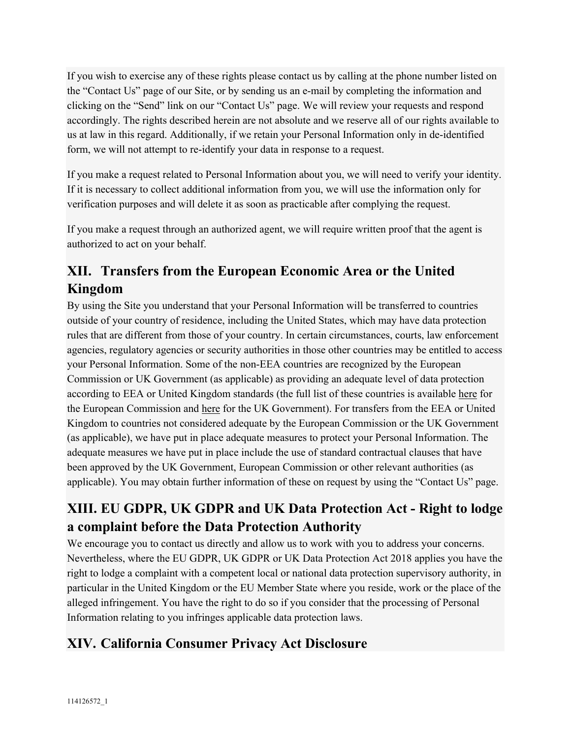If you wish to exercise any of these rights please contact us by calling at the phone number listed on the "Contact Us" page of our Site, or by sending us an e-mail by completing the information and clicking on the "Send" link on our "Contact Us" page. We will review your requests and respond accordingly. The rights described herein are not absolute and we reserve all of our rights available to us at law in this regard. Additionally, if we retain your Personal Information only in de-identified form, we will not attempt to re-identify your data in response to a request.

If you make a request related to Personal Information about you, we will need to verify your identity. If it is necessary to collect additional information from you, we will use the information only for verification purposes and will delete it as soon as practicable after complying the request.

If you make a request through an authorized agent, we will require written proof that the agent is authorized to act on your behalf.

# **XII. Transfers from the European Economic Area or the United Kingdom**

By using the Site you understand that your Personal Information will be transferred to countries outside of your country of residence, including the United States, which may have data protection rules that are different from those of your country. In certain circumstances, courts, law enforcement agencies, regulatory agencies or security authorities in those other countries may be entitled to access your Personal Information. Some of the non-EEA countries are recognized by the European Commission or UK Government (as applicable) as providing an adequate level of data protection according to EEA or United Kingdom standards (the full list of these countries is available here for the European Commission and here for the UK Government). For transfers from the EEA or United Kingdom to countries not considered adequate by the European Commission or the UK Government (as applicable), we have put in place adequate measures to protect your Personal Information. The adequate measures we have put in place include the use of standard contractual clauses that have been approved by the UK Government, European Commission or other relevant authorities (as applicable). You may obtain further information of these on request by using the "Contact Us" page.

# **XIII. EU GDPR, UK GDPR and UK Data Protection Act - Right to lodge a complaint before the Data Protection Authority**

We encourage you to contact us directly and allow us to work with you to address your concerns. Nevertheless, where the EU GDPR, UK GDPR or UK Data Protection Act 2018 applies you have the right to lodge a complaint with a competent local or national data protection supervisory authority, in particular in the United Kingdom or the EU Member State where you reside, work or the place of the alleged infringement. You have the right to do so if you consider that the processing of Personal Information relating to you infringes applicable data protection laws.

## **XIV. California Consumer Privacy Act Disclosure**